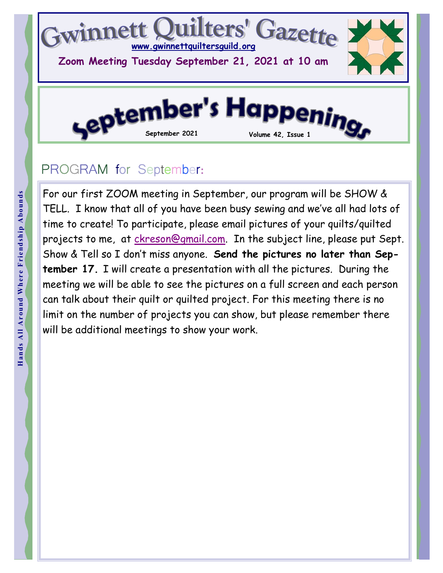

## PROGRAM for September:

For our<br>
Hand Around TELL. If<br>  $\frac{1}{2}$  time to denoted<br>  $\frac{1}{2}$  time to denoted<br>  $\frac{1}{2}$  show &<br>  $\frac{1}{2}$  tember<br>  $\frac{1}{2}$  meeting<br>  $\frac{1}{2}$  can talk<br>  $\frac{1}{2}$  imit on<br>  $\frac{1}{2}$ <br>  $\frac{1}{2}$ <br>  $\frac{1}{2}$ <br>  $\frac{1}{2}$ For our first ZOOM meeting in September, our program will be SHOW & TELL. I know that all of you have been busy sewing and we've all had lots of time to create! To participate, please email pictures of your quilts/quilted projects to me, at ckreson@gmail.com. In the subject line, please put Sept. Show & Tell so I don't miss anyone. Send the pictures no later than September 17. I will create a presentation with all the pictures. During the meeting we will be able to see the pictures on a full screen and each person can talk about their quilt or quilted project. For this meeting there is no limit on the number of projects you can show, but please remember there will be additional meetings to show your work.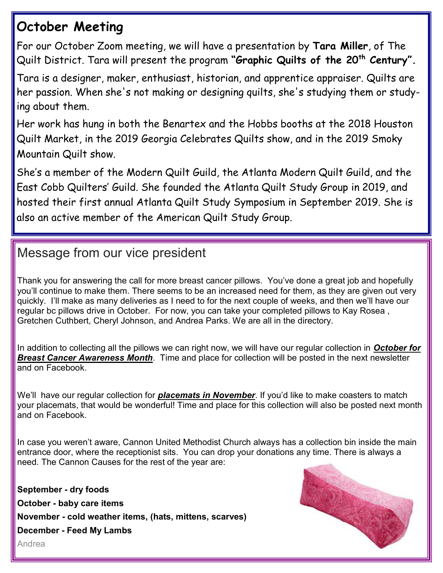### October Meeting

For our October Zoom meeting, we will have a presentation by Tara Miller, of The Quilt District. Tara will present the program "Graphic Quilts of the 20<sup>th</sup> Century".

Tara is a designer, maker, enthusiast, historian, and apprentice appraiser. Quilts are her passion. When she's not making or designing quilts, she's studying them or studying about them.

Her work has hung in both the Benartex and the Hobbs booths at the 2018 Houston Quilt Market, in the 2019 Georgia Celebrates Quilts show, and in the 2019 Smoky Mountain Quilt show.

She's a member of the Modern Quilt Guild, the Atlanta Modern Quilt Guild, and the East Cobb Quilters' Guild. She founded the Atlanta Quilt Study Group in 2019, and hosted their first annual Atlanta Quilt Study Symposium in September 2019. She is also an active member of the American Quilt Study Group.

#### Message from our vice president

Thank you for answering the call for more breast cancer pillows. You've done a great job and hopefully you'll continue to make them. There seems to be an increased need for them, as they are given out very quickly. I'll make as many deliveries as I need to for the next couple of weeks, and then we'll have our regular bc pillows drive in October. For now, you can take your completed pillows to Kay Rosea , Gretchen Cuthbert, Cheryl Johnson, and Andrea Parks. We are all in the directory.

In addition to collecting all the pillows we can right now, we will have our regular collection in October for **Breast Cancer Awareness Month**. Time and place for collection will be posted in the next newsletter and on Facebook.

We'll have our regular collection for **placemats in November**. If you'd like to make coasters to match your placemats, that would be wonderful! Time and place for this collection will also be posted next month and on Facebook.

In case you weren't aware, Cannon United Methodist Church always has a collection bin inside the main entrance door, where the receptionist sits. You can drop your donations any time. There is always a need. The Cannon Causes for the rest of the year are:

September - dry foods October - baby care items November - cold weather items, (hats, mittens, scarves) December - Feed My Lambs Andrea